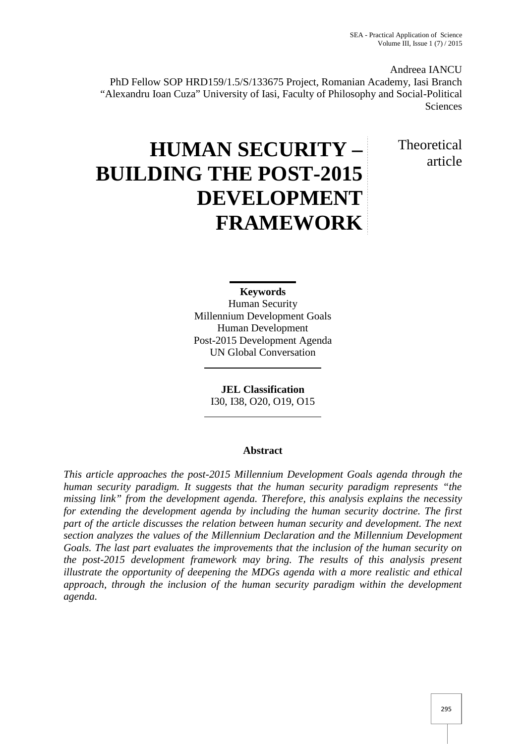Andreea IANCU

PhD Fellow SOP HRD159/1.5/S/133675 Project, Romanian Academy, Iasi Branch "Alexandru Ioan Cuza" University of Iasi, Faculty of Philosophy and Social-Political Sciences

> Theoretical article

# **HUMAN SECURITY – BUILDING THE POST-2015 DEVELOPMENT FRAMEWORK**

**Keywords**

Human Security Millennium Development Goals Human Development Post-2015 Development Agenda UN Global Conversation

> **JEL Classification** I30, I38, O20, O19, O15

## **Abstract**

*This article approaches the post-2015 Millennium Development Goals agenda through the human security paradigm. It suggests that the human security paradigm represents "the missing link" from the development agenda. Therefore, this analysis explains the necessity for extending the development agenda by including the human security doctrine. The first part of the article discusses the relation between human security and development. The next section analyzes the values of the Millennium Declaration and the Millennium Development Goals. The last part evaluates the improvements that the inclusion of the human security on the post-2015 development framework may bring. The results of this analysis present illustrate the opportunity of deepening the MDGs agenda with a more realistic and ethical approach, through the inclusion of the human security paradigm within the development agenda.*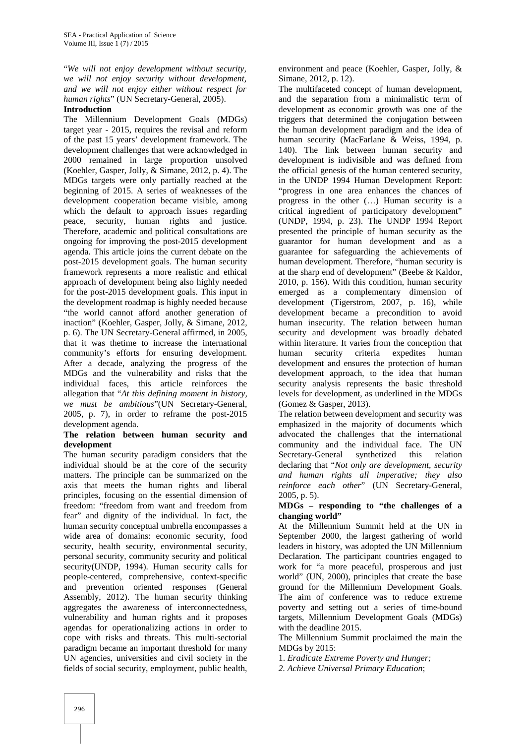"*We will not enjoy development without security, we will not enjoy security without development, and we will not enjoy either without respect for human rights*" (UN Secretary-General, 2005).

#### **Introduction**

The Millennium Development Goals (MDGs) target year - 2015, requires the revisal and reform of the past 15 years' development framework. The development challenges that were acknowledged in 2000 remained in large proportion unsolved (Koehler, Gasper, Jolly, & Simane, 2012, p. 4). The MDGs targets were only partially reached at the beginning of 2015. A series of weaknesses of the development cooperation became visible, among which the default to approach issues regarding peace, security, human rights and justice. Therefore, academic and political consultations are ongoing for improving the post-2015 development agenda. This article joins the current debate on the post-2015 development goals. The human security framework represents a more realistic and ethical approach of development being also highly needed for the post-2015 development goals. This input in the development roadmap is highly needed because "the world cannot afford another generation of inaction" (Koehler, Gasper, Jolly, & Simane, 2012, p. 6). The UN Secretary-General affirmed, in 2005, that it was thetime to increase the international community's efforts for ensuring development. After a decade, analyzing the progress of the MDGs and the vulnerability and risks that the individual faces, this article reinforces the allegation that "*At this defining moment in history, we must be ambitious*"(UN Secretary-General, 2005, p. 7), in order to reframe the post-2015 development agenda.

#### **The relation between human security and development**

The human security paradigm considers that the individual should be at the core of the security matters. The principle can be summarized on the axis that meets the human rights and liberal principles, focusing on the essential dimension of freedom: "freedom from want and freedom from fear" and dignity of the individual. In fact, the human security conceptual umbrella encompasses a wide area of domains: economic security, food security, health security, environmental security, personal security, community security and political security(UNDP, 1994). Human security calls for people-centered, comprehensive, context-specific and prevention oriented responses (General Assembly, 2012). The human security thinking aggregates the awareness of interconnectedness, vulnerability and human rights and it proposes agendas for operationalizing actions in order to cope with risks and threats. This multi-sectorial paradigm became an important threshold for many UN agencies, universities and civil society in the fields of social security, employment, public health,

environment and peace (Koehler, Gasper, Jolly, & Simane, 2012, p. 12).

The multifaceted concept of human development, and the separation from a minimalistic term of development as economic growth was one of the triggers that determined the conjugation between the human development paradigm and the idea of human security (MacFarlane & Weiss, 1994, p. 140). The link between human security and development is indivisible and was defined from the official genesis of the human centered security, in the UNDP 1994 Human Development Report: "progress in one area enhances the chances of progress in the other (…) Human security is a critical ingredient of participatory development" (UNDP, 1994, p. 23). The UNDP 1994 Report presented the principle of human security as the guarantor for human development and as a guarantee for safeguarding the achievements of human development. Therefore, "human security is at the sharp end of development" (Beebe & Kaldor, 2010, p. 156). With this condition, human security emerged as a complementary dimension of development (Tigerstrom, 2007, p. 16), while development became a precondition to avoid human insecurity. The relation between human security and development was broadly debated within literature. It varies from the conception that human security criteria expedites human development and ensures the protection of human development approach, to the idea that human security analysis represents the basic threshold levels for development, as underlined in the MDGs (Gomez & Gasper, 2013).

The relation between development and security was emphasized in the majority of documents which advocated the challenges that the international community and the individual face. The UN Secretary-General synthetized this relation declaring that "*Not only are development, security and human rights all imperative; they also reinforce each other*" (UN Secretary-General, 2005, p. 5).

#### **MDGs – responding to "the challenges of a changing world"**

At the Millennium Summit held at the UN in September 2000, the largest gathering of world leaders in history, was adopted the UN Millennium Declaration. The participant countries engaged to work for "a more peaceful, prosperous and just world" (UN, 2000), principles that create the base ground for the Millennium Development Goals. The aim of conference was to reduce extreme poverty and setting out a series of time-bound targets, Millennium Development Goals (MDGs) with the deadline 2015.

The Millennium Summit proclaimed the main the MDGs by 2015:

1. *Eradicate Extreme Poverty and Hunger;*

*2. Achieve Universal Primary Education*;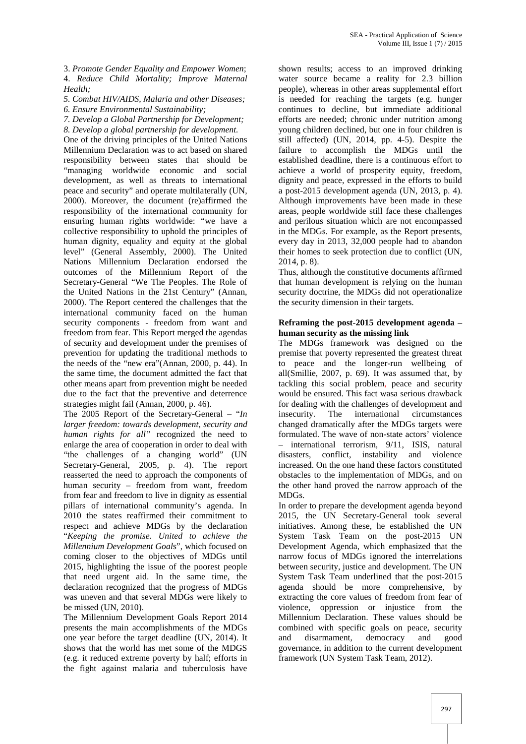3. *Promote Gender Equality and Empower Women*; 4. *Reduce Child Mortality; Improve Maternal Health;*

*5. Combat HIV/AIDS, Malaria and other Diseases;*

*6. Ensure Environmental Sustainability;*

*7. Develop a Global Partnership for Development;*

*8. Develop a global partnership for development.* One of the driving principles of the United Nations Millennium Declaration was to act based on shared responsibility between states that should be "managing worldwide economic and social development, as well as threats to international peace and security" and operate multilaterally (UN, 2000). Moreover, the document (re)affirmed the responsibility of the international community for ensuring human rights worldwide: "we have a collective responsibility to uphold the principles of human dignity, equality and equity at the global level" (General Assembly, 2000). The United Nations Millennium Declaration endorsed the outcomes of the Millennium Report of the Secretary-General "We The Peoples. The Role of the United Nations in the 21st Century" (Annan, 2000). The Report centered the challenges that the international community faced on the human security components - freedom from want and freedom from fear. This Report merged the agendas of security and development under the premises of prevention for updating the traditional methods to the needs of the "new era"(Annan, 2000, p. 44). In the same time, the document admitted the fact that other means apart from prevention might be needed due to the fact that the preventive and deterrence strategies might fail (Annan, 2000, p. 46).

The 2005 Report of the Secretary-General – "*In larger freedom: towards development, security and human rights for all"* recognized the need to enlarge the area of cooperation in order to deal with "the challenges of a changing world" (UN Secretary-General, 2005, p. 4). The report reasserted the need to approach the components of human security – freedom from want, freedom from fear and freedom to live in dignity as essential pillars of international community's agenda. In 2010 the states reaffirmed their commitment to respect and achieve MDGs by the declaration "*Keeping the promise. United to achieve the Millennium Development Goal*s", which focused on coming closer to the objectives of MDGs until 2015, highlighting the issue of the poorest people that need urgent aid. In the same time, the declaration recognized that the progress of MDGs was uneven and that several MDGs were likely to be missed (UN, 2010).

The Millennium Development Goals Report 2014 presents the main accomplishments of the MDGs one year before the target deadline (UN, 2014). It shows that the world has met some of the MDGS (e.g. it reduced extreme poverty by half; efforts in the fight against malaria and tuberculosis have

shown results; access to an improved drinking water source became a reality for 2.3 billion people), whereas in other areas supplemental effort is needed for reaching the targets (e.g. hunger continues to decline, but immediate additional efforts are needed; chronic under nutrition among young children declined, but one in four children is still affected) (UN, 2014, pp. 4-5). Despite the failure to accomplish the MDGs until the established deadline, there is a continuous effort to achieve a world of prosperity equity, freedom, dignity and peace, expressed in the efforts to build a post-2015 development agenda (UN, 2013, p. 4). Although improvements have been made in these areas, people worldwide still face these challenges and perilous situation which are not encompassed in the MDGs. For example, as the Report presents, every day in 2013, 32,000 people had to abandon their homes to seek protection due to conflict (UN, 2014, p. 8).

Thus, although the constitutive documents affirmed that human development is relying on the human security doctrine, the MDGs did not operationalize the security dimension in their targets.

#### **Reframing the post-2015 development agenda – human security as the missing link**

The MDGs framework was designed on the premise that poverty represented the greatest threat peace and the longer-run wellbeing of all(Smillie, 2007, p. 69). It was assumed that, by tackling this social problem, peace and security would be ensured. This fact wasa serious drawback for dealing with the challenges of development and The international circumstances changed dramatically after the MDGs targets were formulated. The wave of non-state actors' violence – international terrorism, 9/11, ISIS, natural disasters, conflict, instability and violence increased. On the one hand these factors constituted obstacles to the implementation of MDGs, and on the other hand proved the narrow approach of the MDGs.

In order to prepare the development agenda beyond 2015, the UN Secretary-General took several initiatives. Among these, he established the UN System Task Team on the post-2015 UN Development Agenda, which emphasized that the narrow focus of MDGs ignored the interrelations between security, justice and development. The UN System Task Team underlined that the post-2015 agenda should be more comprehensive, by extracting the core values of freedom from fear of violence, oppression or injustice from the Millennium Declaration. These values should be combined with specific goals on peace, security and disarmament, democracy and good governance, in addition to the current development framework (UN System Task Team, 2012).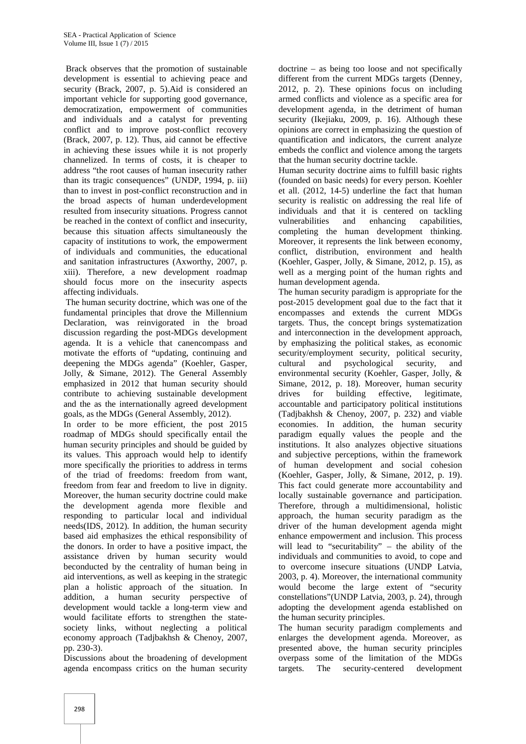Brack observes that the promotion of sustainable development is essential to achieving peace and security (Brack, 2007, p. 5).Aid is considered an important vehicle for supporting good governance, democratization, empowerment of communities and individuals and a catalyst for preventing conflict and to improve post-conflict recovery (Brack, 2007, p. 12). Thus, aid cannot be effective in achieving these issues while it is not properly channelized. In terms of costs, it is cheaper to address "the root causes of human insecurity rather than its tragic consequences" (UNDP, 1994, p. iii) than to invest in post-conflict reconstruction and in the broad aspects of human underdevelopment resulted from insecurity situations. Progress cannot be reached in the context of conflict and insecurity, because this situation affects simultaneously the capacity of institutions to work, the empowerment of individuals and communities, the educational and sanitation infrastructures (Axworthy, 2007, p. xiii). Therefore, a new development roadmap should focus more on the insecurity aspects affecting individuals.

The human security doctrine, which was one of the fundamental principles that drove the Millennium Declaration, was reinvigorated in the broad discussion regarding the post-MDGs development agenda. It is a vehicle that canencompass and motivate the efforts of "updating, continuing and deepening the MDGs agenda" (Koehler, Gasper, Jolly, & Simane, 2012). The General Assembly emphasized in 2012 that human security should contribute to achieving sustainable development and the as the internationally agreed development goals, as the MDGs (General Assembly, 2012).

In order to be more efficient, the post 2015 roadmap of MDGs should specifically entail the human security principles and should be guided by its values. This approach would help to identify more specifically the priorities to address in terms of the triad of freedoms: freedom from want, freedom from fear and freedom to live in dignity. Moreover, the human security doctrine could make the development agenda more flexible and responding to particular local and individual needs(IDS, 2012). In addition, the human security based aid emphasizes the ethical responsibility of the donors. In order to have a positive impact, the assistance driven by human security would beconducted by the centrality of human being in aid interventions, as well as keeping in the strategic plan a holistic approach of the situation. In addition, a human security perspective of development would tackle a long-term view and would facilitate efforts to strengthen the state society links, without neglecting a political economy approach (Tadjbakhsh & Chenoy, 2007, pp. 230-3).

Discussions about the broadening of development agenda encompass critics on the human security

doctrine – as being too loose and not specifically different from the current MDGs targets (Denney, 2012, p. 2). These opinions focus on including armed conflicts and violence as a specific area for development agenda, in the detriment of human security (Ikejiaku, 2009, p. 16). Although these opinions are correct in emphasizing the question of quantification and indicators, the current analyze embeds the conflict and violence among the targets that the human security doctrine tackle.

Human security doctrine aims to fulfill basic rights (founded on basic needs) for every person. Koehler et all. (2012, 14-5) underline the fact that human security is realistic on addressing the real life of individuals and that it is centered on tackling vulnerabilities and enhancing capabilities, completing the human development thinking. Moreover, it represents the link between economy, conflict, distribution, environment and health (Koehler, Gasper, Jolly, & Simane, 2012, p. 15), as well as a merging point of the human rights and human development agenda.

The human security paradigm is appropriate for the post-2015 development goal due to the fact that it encompasses and extends the current MDGs targets. Thus, the concept brings systematization and interconnection in the development approach, by emphasizing the political stakes, as economic security/employment security, political security, cultural and psychological security, and environmental security (Koehler, Gasper, Jolly, & Simane, 2012, p. 18). Moreover, human security drives for building effective, legitimate, accountable and participatory political institutions (Tadjbakhsh & Chenoy, 2007, p. 232) and viable economies. In addition, the human security paradigm equally values the people and the institutions. It also analyzes objective situations and subjective perceptions, within the framework of human development and social cohesion (Koehler, Gasper, Jolly, & Simane, 2012, p. 19). This fact could generate more accountability and locally sustainable governance and participation. Therefore, through a multidimensional, holistic approach, the human security paradigm as the driver of the human development agenda might enhance empowerment and inclusion. This process will lead to "securitability" – the ability of the individuals and communities to avoid, to cope and to overcome insecure situations (UNDP Latvia, 2003, p. 4). Moreover, the international community would become the large extent of "security constellations"(UNDP Latvia, 2003, p. 24), through adopting the development agenda established on the human security principles.

The human security paradigm complements and enlarges the development agenda. Moreover, as presented above, the human security principles overpass some of the limitation of the MDGs The security-centered development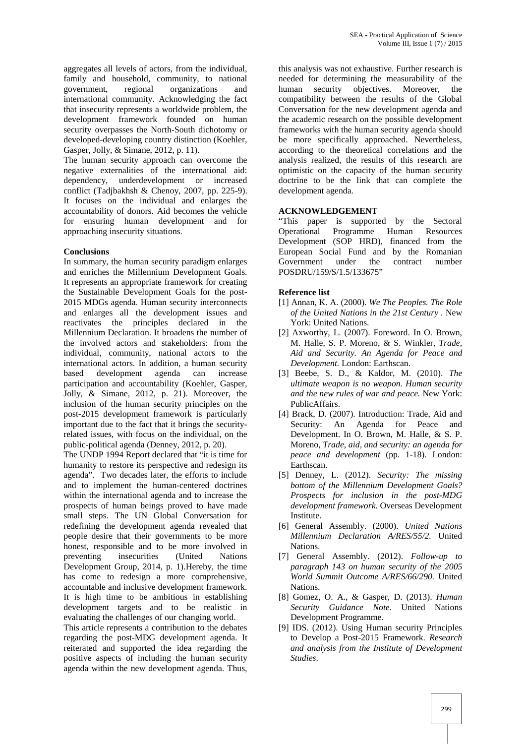aggregates all levels of actors, from the individual, family and household, community, to national government, regional organizations and international community. Acknowledging the fact that insecurity represents a worldwide problem, the development framework founded on human security overpasses the North-South dichotomy or developed-developing country distinction (Koehler, Gasper, Jolly, & Simane, 2012, p. 11).

The human security approach can overcome the negative externalities of the international aid: dependency, underdevelopment or increased conflict (Tadjbakhsh & Chenoy, 2007, pp. 225-9). It focuses on the individual and enlarges the accountability of donors. Aid becomes the vehicle for ensuring human development and for approaching insecurity situations.

## **Conclusions**

In summary, the human security paradigm enlarges and enriches the Millennium Development Goals. It represents an appropriate framework for creating the Sustainable Development Goals for the post- 2015 MDGs agenda. Human security interconnects and enlarges all the development issues and reactivates the principles declared in the Millennium Declaration. It broadens the number of the involved actors and stakeholders: from the individual, community, national actors to the international actors. In addition, a human security based development agenda can increase participation and accountability (Koehler, Gasper, Jolly, & Simane, 2012, p. 21). Moreover, the inclusion of the human security principles on the post-2015 development framework is particularly important due to the fact that it brings the securityrelated issues, with focus on the individual, on the public-political agenda (Denney, 2012, p. 20).

The UNDP 1994 Report declared that "it is time for humanity to restore its perspective and redesign its agenda". Two decades later, the efforts to include and to implement the human-centered doctrines within the international agenda and to increase the prospects of human beings proved to have made small steps. The UN Global Conversation for redefining the development agenda revealed that people desire that their governments to be more honest, responsible and to be more involved in preventing insecurities (United Nations Development Group, 2014, p. 1).Hereby, the time has come to redesign a more comprehensive, accountable and inclusive development framework. It is high time to be ambitious in establishing development targets and to be realistic in evaluating the challenges of our changing world. This article represents a contribution to the debates

regarding the post-MDG development agenda. It reiterated and supported the idea regarding the positive aspects of including the human security agenda within the new development agenda. Thus,

this analysis was not exhaustive. Further research is needed for determining the measurability of the security objectives. Moreover, the compatibility between the results of the Global Conversation for the new development agenda and the academic research on the possible development frameworks with the human security agenda should be more specifically approached. Nevertheless, according to the theoretical correlations and the analysis realized, the results of this research are optimistic on the capacity of the human security doctrine to be the link that can complete the development agenda.

## **ACKNOWLEDGEMENT**

"This paper is supported by the Sectoral Operational Programme Human Resources Development (SOP HRD), financed from the European Social Fund and by the Romanian Government under the contract number POSDRU/159/S/1.5/133675"

### **Reference list**

- [1] Annan, K. A. (2000). *We The Peoples. The Role of the United Nations in the 21st Century .* New York: United Nations.
- [2] Axworthy, L. (2007). Foreword. In O. Brown, M. Halle, S. P. Moreno, & S. Winkler, *Trade, Aid and Security. An Agenda for Peace and Development.* London: Earthscan.
- [3] Beebe, S. D., & Kaldor, M. (2010). *The ultimate weapon is no weapon. Human security and the new rules of war and peace.* New York: PublicAffairs.
- [4] Brack, D. (2007). Introduction: Trade, Aid and Security: An Agenda for Peace and Development. In O. Brown, M. Halle, & S. P. Moreno, *Trade, aid, and security: an agenda for peace and development* (pp. 1-18). London: Earthscan.
- [5] Denney, L. (2012). *Security: The missing bottom of the Millennium Development Goals? Prospects for inclusion in the post-MDG development framework.* Overseas Development Institute.
- [6] General Assembly. (2000). *United Nations Millennium Declaration A/RES/55/2.* United Nations.
- [7] General Assembly. (2012). *Follow-up to paragraph 143 on human security of the 2005 World Summit Outcome A/RES/66/290.* United Nations.
- [8] Gomez, O. A., & Gasper, D. (2013). *Human Security Guidance Note.* United Nations Development Programme.
- [9] IDS. (2012). Using Human security Principles to Develop a Post-2015 Framework. *Research and analysis from the Institute of Development Studies*.